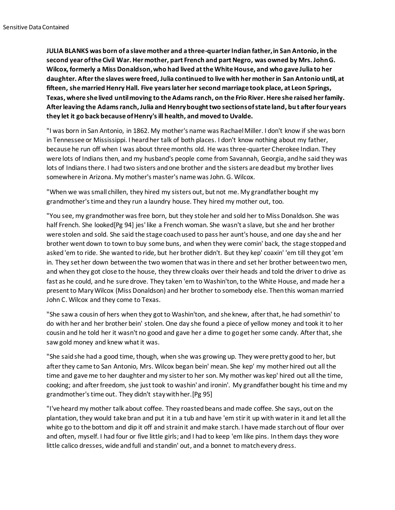**JULIA BLANKS was born of a slave mother and a three-quarter Indian father, in San Antonio, in the second year of the Civil War. Her mother, part French and part Negro, was owned by Mrs. John G. Wilcox, formerly a Miss Donaldson, who had lived at the White House, and who gave Julia to her daughter. After the slaves were freed, Julia continued to live with her mother in San Antonio until, at fifteen, she married Henry Hall. Five years later her second marriage took place, at Leon Springs, Texas, where she lived until moving to the Adams ranch, on the Frio River. Here she raised her family. After leaving the Adams ranch, Julia and Henry bought two sections of state land, but after four years they let it go back because of Henry's ill health, and moved to Uvalde.**

"I was born in San Antonio, in 1862. My mother's name was Rachael Miller. I don't know if she was born in Tennessee or Mississippi. I heard her talk of both places. I don't know nothing about my father, because he run off when I was about three months old. He was three-quarter Cherokee Indian. They were lots of Indians then, and my husband's people come from Savannah, Georgia, and he said they was lots of Indians there. I had two sisters and one brother and the sisters are dead but my brother lives somewhere in Arizona. My mother's master's name was John. G. Wilcox.

"When we was small chillen, they hired my sisters out, but not me. My grandfather bought my grandmother's time and they run a laundry house. They hired my mother out, too.

"You see, my grandmother was free born, but they stole her and sold her to Miss Donaldson. She was half French. She looked[Pg 94] jes' like a French woman. She wasn't a slave, but she and her brother were stolen and sold. She said the stage coach used to pass her aunt's house, and one day she and her brother went down to town to buy some buns, and when they were comin' back, the stage stopped and asked 'em to ride. She wanted to ride, but her brother didn't. But they kep' coaxin' 'em till they got 'em in. They set her down between the two women that was in there and set her brother between two men, and when they got close to the house, they threw cloaks over their heads and told the driver to drive as fast as he could, and he sure drove. They taken 'em to Washin'ton, to the White House, and made her a present to Mary Wilcox (Miss Donaldson) and her brother to somebody else. Then this woman married John C. Wilcox and they come to Texas.

"She saw a cousin of hers when they got to Washin'ton, and she knew, after that, he had somethin' to do with her and her brother bein' stolen. One day she found a piece of yellow money and took it to her cousin and he told her it wasn't no good and gave her a dime to go get her some candy. After that, she saw gold money and knew what it was.

"She said she had a good time, though, when she was growing up. They were pretty good to her, but after they came to San Antonio, Mrs. Wilcox began bein' mean. She kep' my mother hired out all the time and gave me to her daughter and my sister to her son. My mother was kep' hired out all the time, cooking; and after freedom, she just took to washin' and ironin'. My grandfather bought his time and my grandmother's time out. They didn't stay with her.[Pg 95]

"I've heard my mother talk about coffee. They roasted beans and made coffee. She says, out on the plantation, they would take bran and put it in a tub and have 'em stir it up with water in it and let all the white go to the bottom and dip it off and strain it and make starch. I have made starch out of flour over and often, myself. I had four or five little girls; and I had to keep 'em like pins. In them days they wore little calico dresses, wide and full and standin' out, and a bonnet to match every dress.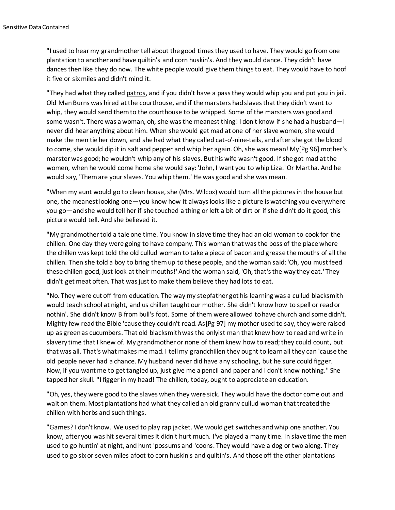"I used to hear my grandmother tell about the good times they used to have. They would go from one plantation to another and have quiltin's and corn huskin's. And they would dance. They didn't have dances then like they do now. The white people would give them things to eat. They would have to hoof it five or six miles and didn't mind it.

"They had what they called patros, and if you didn't have a pass they would whip you and put you in jail. Old Man Burns was hired at the courthouse, and if the marsters had slaves that they didn't want to whip, they would send them to the courthouse to be whipped. Some of the marsters was good and some wasn't. There was a woman, oh, she was the meanest thing! I don't know if she had a husband—I never did hear anything about him. When she would get mad at one of her slave women, she would make the men tie her down, and she had what they called cat-o'-nine-tails, and after she got the blood to come, she would dip it in salt and pepper and whip her again. Oh, she was mean! My[Pg 96] mother's marster was good; he wouldn't whip any of his slaves. But his wife wasn't good. If she got mad at the women, when he would come home she would say: 'John, I want you to whip Liza.' Or Martha. And he would say, 'Them are your slaves. You whip them.' He was good and she was mean.

"When my aunt would go to clean house, she (Mrs. Wilcox) would turn all the pictures in the house but one, the meanest looking one—you know how it always looks like a picture is watching you everywhere you go—and she would tell her if she touched a thing or left a bit of dirt or if she didn't do it good, this picture would tell. And she believed it.

"My grandmother told a tale one time. You know in slave time they had an old woman to cook for the chillen. One day they were going to have company. This woman that was the boss of the place where the chillen was kept told the old cullud woman to take a piece of bacon and grease the mouths of all the chillen. Then she told a boy to bring them up to these people, and the woman said: 'Oh, you must feed these chillen good, just look at their mouths!' And the woman said, 'Oh, that's the way they eat.' They didn't get meat often. That was just to make them believe they had lots to eat.

"No. They were cut off from education. The way my stepfather got his learning was a cullud blacksmith would teach school at night, and us chillen taught our mother. She didn't know how to spell or read or nothin'. She didn't know B from bull's foot. Some of them were allowed to have church and some didn't. Mighty few read the Bible 'cause they couldn't read. As[Pg 97] my mother used to say, they were raised up as green as cucumbers. That old blacksmith was the onlyist man that knew how to read and write in slavery time that I knew of. My grandmother or none of them knew how to read; they could count, but that was all. That's what makes me mad. I tell my grandchillen they ought to learn all they can 'cause the old people never had a chance. My husband never did have any schooling, but he sure could figger. Now, if you want me to get tangled up, just give me a pencil and paper and I don't know nothing." She tapped her skull. "I figger in my head! The chillen, today, ought to appreciate an education.

"Oh, yes, they were good to the slaves when they were sick. They would have the doctor come out and wait on them. Most plantations had what they called an old granny cullud woman that treated the chillen with herbs and such things.

"Games? I don't know. We used to play rap jacket. We would get switches and whip one another. You know, after you was hit several times it didn't hurt much. I've played a many time. In slave time the men used to go huntin' at night, and hunt 'possums and 'coons. They would have a dog or two along. They used to go six or seven miles afoot to corn huskin's and quiltin's. And those off the other plantations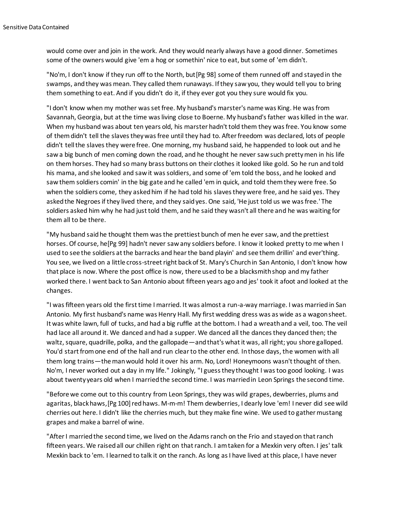would come over and join in the work. And they would nearly always have a good dinner. Sometimes some of the owners would give 'em a hog or somethin' nice to eat, but some of 'em didn't.

"No'm, I don't know if they run off to the North, but[Pg 98] some of them runned off and stayed in the swamps, and they was mean. They called them runaways. If they saw you, they would tell you to bring them something to eat. And if you didn't do it, if they ever got you they sure would fix you.

"I don't know when my mother was set free. My husband's marster's name was King. He was from Savannah, Georgia, but at the time was living close to Boerne. My husband's father was killed in the war. When my husband was about ten years old, his marster hadn't told them they was free. You know some of them didn't tell the slaves they was free until they had to. After freedom was declared, lots of people didn't tell the slaves they were free. One morning, my husband said, he happended to look out and he saw a big bunch of men coming down the road, and he thought he never saw such pretty men in his life on them horses. They had so many brass buttons on their clothes it looked like gold. So he run and told his mama, and she looked and saw it was soldiers, and some of 'em told the boss, and he looked and saw them soldiers comin' in the big gate and he called 'em in quick, and told them they were free. So when the soldiers come, they asked him if he had told his slaves they were free, and he said yes. They asked the Negroes if they lived there, and they said yes. One said, 'He just told us we was free.' The soldiers asked him why he had just told them, and he said they wasn't all there and he was waiting for them all to be there.

"My husband said he thought them was the prettiest bunch of men he ever saw, and the prettiest horses. Of course, he[Pg 99] hadn't never saw any soldiers before. I know it looked pretty to me when I used to see the soldiers at the barracks and hear the band playin' and see them drillin' and ever'thing. You see, we lived on a little cross-street right back of St. Mary's Church in San Antonio, I don't know how that place is now. Where the post office is now, there used to be a blacksmith shop and my father worked there. I went back to San Antonio about fifteen years ago and jes' took it afoot and looked at the changes.

"I was fifteen years old the first time I married. It was almost a run-a-way marriage. I was married in San Antonio. My first husband's name was Henry Hall. My first wedding dress was as wide as a wagon sheet. It was white lawn, full of tucks, and had a big ruffle at the bottom. I had a wreath and a veil, too. The veil had lace all around it. We danced and had a supper. We danced all the dances they danced then; the waltz, square, quadrille, polka, and the gallopade—and that's what it was, all right; you shore galloped. You'd start from one end of the hall and run clear to the other end. In those days, the women with all them long trains—the man would hold it over his arm. No, Lord! Honeymoons wasn't thought of then. No'm, I never worked out a day in my life." Jokingly, "I guess they thought I was too good looking. I was about twenty years old when I married the second time. I was married in Leon Springs the second time.

"Before we come out to this country from Leon Springs, they was wild grapes, dewberries, plums and agaritas, black haws, [Pg 100] red haws. M-m-m! Them dewberries, I dearly love 'em! I never did see wild cherries out here. I didn't like the cherries much, but they make fine wine. We used to gather mustang grapes and make a barrel of wine.

"After I married the second time, we lived on the Adams ranch on the Frio and stayed on that ranch fifteen years. We raised all our chillen right on that ranch. I am taken for a Mexkin very often. I jes' talk Mexkin back to 'em. I learned to talk it on the ranch. As long as I have lived at this place, I have never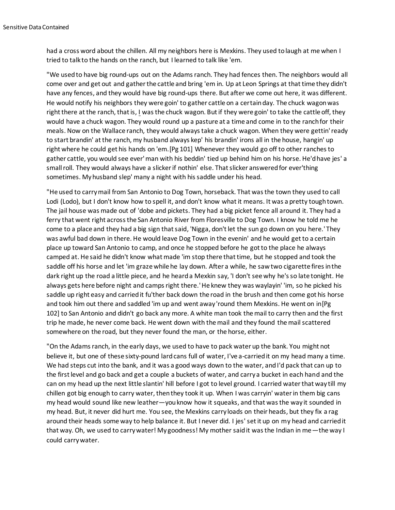had a cross word about the chillen. All my neighbors here is Mexkins. They used to laugh at me when I tried to talk to the hands on the ranch, but I learned to talk like 'em.

"We used to have big round-ups out on the Adams ranch. They had fences then. The neighbors would all come over and get out and gather the cattle and bring 'em in. Up at Leon Springs at that time they didn't have any fences, and they would have big round-ups there. But after we come out here, it was different. He would notify his neighbors they were goin' to gather cattle on a certain day. The chuck wagon was right there at the ranch, that is, I was the chuck wagon. But if they were goin' to take the cattle off, they would have a chuck wagon. They would round up a pasture at a time and come in to the ranch for their meals. Now on the Wallace ranch, they would always take a chuck wagon. When they were gettin' ready to start brandin' at the ranch, my husband always kep' his brandin' irons all in the house, hangin' up right where he could get his hands on 'em.[Pg 101] Whenever they would go off to other ranches to gather cattle, you would see ever' man with his beddin' tied up behind him on his horse. He'd have jes' a small roll. They would always have a slicker if nothin' else. That slicker answered for ever'thing sometimes. My husband slep' many a night with his saddle under his head.

"He used to carry mail from San Antonio to Dog Town, horseback. That was the town they used to call Lodi (Lodo), but I don't know how to spell it, and don't know what it means. It was a pretty tough town. The jail house was made out of 'dobe and pickets. They had a big picket fence all around it. They had a ferry that went right across the San Antonio River from Floresville to Dog Town. I know he told me he come to a place and they had a big sign that said, 'Nigga, don't let the sun go down on you here.' They was awful bad down in there. He would leave Dog Town in the evenin' and he would get to a certain place up toward San Antonio to camp, and once he stopped before he got to the place he always camped at. He said he didn't know what made 'im stop there that time, but he stopped and took the saddle off his horse and let 'im graze while he lay down. After a while, he saw two cigarette fires in the dark right up the road a little piece, and he heard a Mexkin say, 'I don't see why he's so late tonight. He always gets here before night and camps right there.' He knew they was waylayin' 'im, so he picked his saddle up right easy and carried it fu'ther back down the road in the brush and then come got his horse and took him out there and saddled 'im up and went away 'round them Mexkins. He went on in[Pg 102] to San Antonio and didn't go back any more. A white man took the mail to carry then and the first trip he made, he never come back. He went down with the mail and they found the mail scattered somewhere on the road, but they never found the man, or the horse, either.

"On the Adams ranch, in the early days, we used to have to pack water up the bank. You might not believe it, but one of these sixty-pound lard cans full of water, I've a-carried it on my head many a time. We had steps cut into the bank, and it was a good ways down to the water, and I'd pack that can up to the first level and go back and get a couple a buckets of water, and carry a bucket in each hand and the can on my head up the next little slantin' hill before I got to level ground. I carried water that way till my chillen got big enough to carry water, then they took it up. When I was carryin' water in them big cans my head would sound like new leather—you know how it squeaks, and that was the way it sounded in my head. But, it never did hurt me. You see, the Mexkins carry loads on their heads, but they fix a rag around their heads some way to help balance it. But I never did. I jes' set it up on my head and carried it that way. Oh, we used to carry water! My goodness! My mother said it was the Indian in me—the way I could carry water.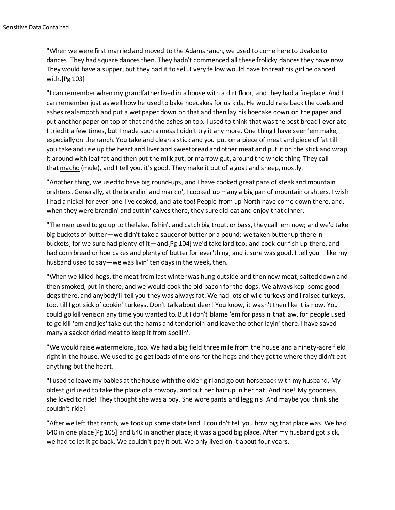"When we were first married and moved to the Adams ranch, we used to come here to Uvalde to dances. They had square dances then. They hadn't commenced all these frolicky dances they have now. They would have a supper, but they had it to sell. Every fellow would have to treat his girl he danced with.[Pg 103]

"I can remember when my grandfather lived in a house with a dirt floor, and they had a fireplace. And I can remember just as well how he used to bake hoecakes for us kids. He would rake back the coals and ashes real smooth and put a wet paper down on that and then lay his hoecake down on the paper and put another paper on top of that and the ashes on top. I used to think that was the best bread I ever ate. I tried it a few times, but I made such a mess I didn't try it any more. One thing I have seen 'em make, especially on the ranch. You take and clean a stick and you put on a piece of meat and piece of fat till you take and use up the heart and liver and sweetbread and other meat and put it on the stick and wrap it around with leaf fat and then put the milk gut, or marrow gut, around the whole thing. They call that macho (mule), and I tell you, it's good. They make it out of a goat and sheep, mostly.

"Another thing, we used to have big round-ups, and I have cooked great pans of steak and mountain orshters. Generally, at the brandin' and markin', I cooked up many a big pan of mountain orshters. I wish I had a nickel for ever' one I've cooked, and ate too! People from up North have come down there, and, when they were brandin' and cuttin' calves there, they sure did eat and enjoy that dinner.

"The men used to go up to the lake, fishin', and catch big trout, or bass, they call 'em now; and we'd take big buckets of butter—we didn't take a saucer of butter or a pound; we taken butter up there in buckets, for we sure had plenty of it—and[Pg 104] we'd take lard too, and cook our fish up there, and had corn bread or hoe cakes and plenty of butter for ever'thing, and it sure was good. I tell you—like my husband used to say—we was livin' ten days in the week, then.

"When we killed hogs, the meat from last winter was hung outside and then new meat, salted down and then smoked, put in there, and we would cook the old bacon for the dogs. We always kep' some good dogs there, and anybody'll tell you they was always fat. We had lots of wild turkeys and I raised turkeys, too, till I got sick of cookin' turkeys. Don't talk about deer! You know, it wasn't then like it is now. You could go kill venison any time you wanted to. But I don't blame 'em for passin' that law, for people used to go kill 'em and jes' take out the hams and tenderloin and leave the other layin' there. I have saved many a sack of dried meat to keep it from spoilin'.

"We would raise watermelons, too. We had a big field three mile from the house and a ninety-acre field right in the house. We used to go get loads of melons for the hogs and they got to where they didn't eat anything but the heart.

"I used to leave my babies at the house with the older girl and go out horseback with my husband. My oldest girl used to take the place of a cowboy, and put her hair up in her hat. And ride! My goodness, she loved to ride! They thought she was a boy. She wore pants and leggin's. And maybe you think she couldn't ride!

"After we left that ranch, we took up some state land. I couldn't tell you how big that place was. We had 640 in one place[Pg 105] and 640 in another place; it was a good big place. After my husband got sick, we had to let it go back. We couldn't pay it out. We only lived on it about four years.